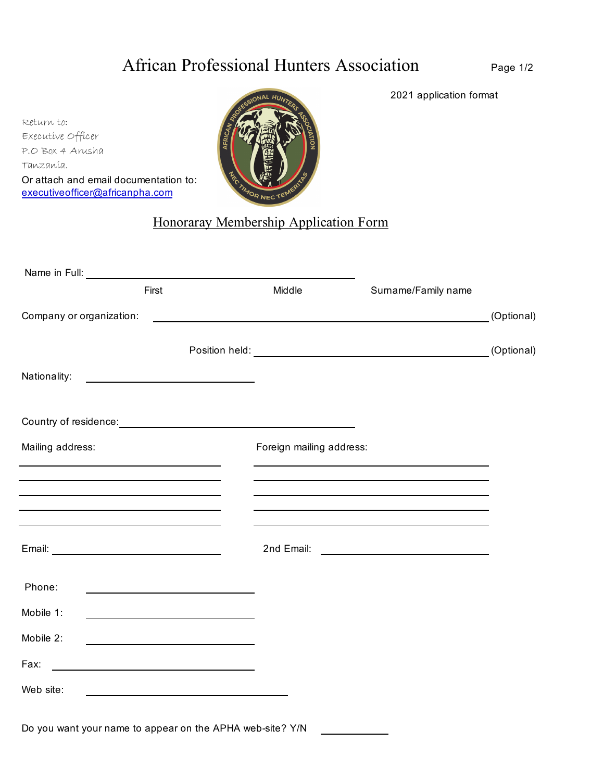# African Professional Hunters Association

Page 1/2

2021 application format

Return to: Or attach and email documentation to: Executive Officer P.O Box 4 Arusha Tanzania. executiveofficer@africanpha.com



## Honoraray Membership Application Form

|                          | First                                                      | Middle                                                                                                                | Surname/Family name                                                                                              |            |  |  |
|--------------------------|------------------------------------------------------------|-----------------------------------------------------------------------------------------------------------------------|------------------------------------------------------------------------------------------------------------------|------------|--|--|
| Company or organization: |                                                            | <u> 1989 - Johann Harry Harry Harry Harry Harry Harry Harry Harry Harry Harry Harry Harry Harry Harry Harry Harry</u> |                                                                                                                  | (Optional) |  |  |
|                          |                                                            |                                                                                                                       | Position held: (Optional)                                                                                        |            |  |  |
| Nationality:             | <u> 1989 - Johann Barn, amerikansk politiker (</u>         |                                                                                                                       |                                                                                                                  |            |  |  |
|                          |                                                            |                                                                                                                       |                                                                                                                  |            |  |  |
| Mailing address:         |                                                            | Foreign mailing address:                                                                                              |                                                                                                                  |            |  |  |
|                          |                                                            |                                                                                                                       |                                                                                                                  |            |  |  |
|                          | <u> 1989 - Johann Stoff, amerikansk politiker (* 1908)</u> |                                                                                                                       | and the control of the control of the control of the control of the control of the control of the control of the |            |  |  |
|                          |                                                            |                                                                                                                       |                                                                                                                  |            |  |  |
|                          |                                                            |                                                                                                                       |                                                                                                                  |            |  |  |
| Phone:                   |                                                            |                                                                                                                       |                                                                                                                  |            |  |  |
| Mobile 1:                |                                                            |                                                                                                                       |                                                                                                                  |            |  |  |
| Mobile 2:                |                                                            |                                                                                                                       |                                                                                                                  |            |  |  |
| Fax:                     | <u> 1980 - Johann Barbara, martin amerikan basar da</u>    |                                                                                                                       |                                                                                                                  |            |  |  |
| Web site:                |                                                            |                                                                                                                       |                                                                                                                  |            |  |  |
|                          |                                                            |                                                                                                                       |                                                                                                                  |            |  |  |

Do you want your name to appear on the APHA web-site? Y/N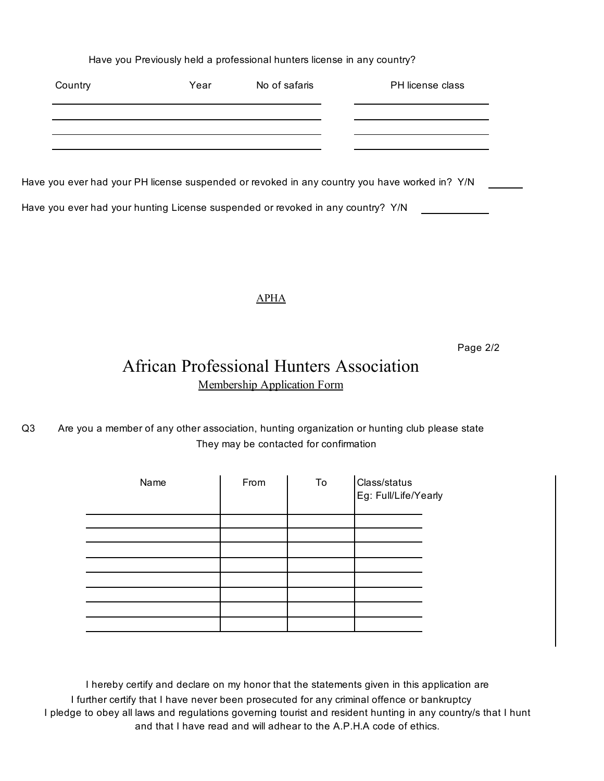Have you Previously held a professional hunters license in any country?

| Country | Year | No of safaris | PH license class |
|---------|------|---------------|------------------|
|         |      |               |                  |
|         |      |               |                  |
|         |      |               |                  |

Have you ever had your PH license suspended or revoked in any country you have worked in? Y/N

Have you ever had your hunting License suspended or revoked in any country? Y/N

### APHA

Page 2/2

## Membership Application Form African Professional Hunters Association

#### Q3 They may be contacted for confirmation Are you a member of any other association, hunting organization or hunting club please state

| From | To | Class/status<br>Eg: Full/Life/Yearly |
|------|----|--------------------------------------|
|      |    |                                      |
|      |    |                                      |
|      |    |                                      |
|      |    |                                      |
|      |    |                                      |
|      |    |                                      |
|      |    |                                      |
|      |    |                                      |
|      |    |                                      |

I further certify that I have never been prosecuted for any criminal offence or bankruptcy and that I have read and will adhear to the A.P.H.A code of ethics. I pledge to obey all laws and regulations governing tourist and resident hunting in any country/s that I hunt I hereby certify and declare on my honor that the statements given in this application are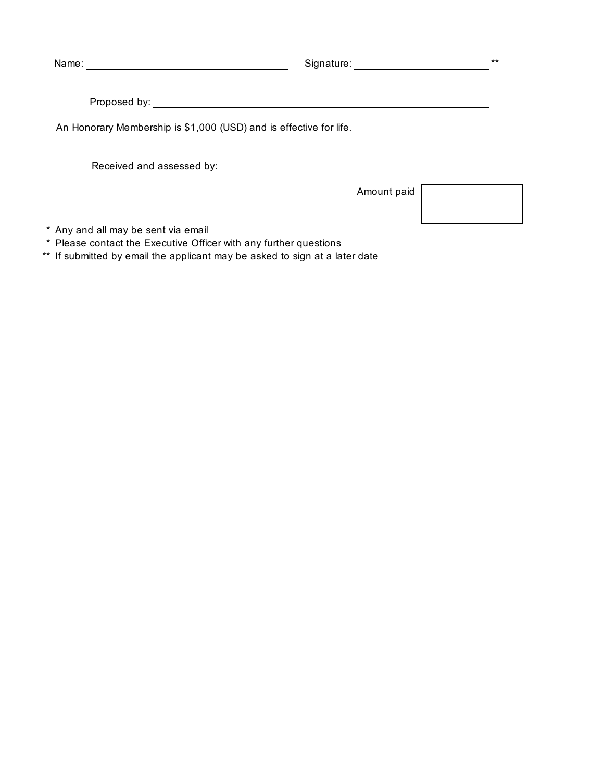Name: Signature: \*\*

Proposed by:

An Honorary Membership is \$1,000 (USD) and is effective for life.

Received and assessed by:

Amount paid

\* Any and all may be sent via email

\* Please contact the Executive Officer with any further questions

\*\* If submitted by email the applicant may be asked to sign at a later date